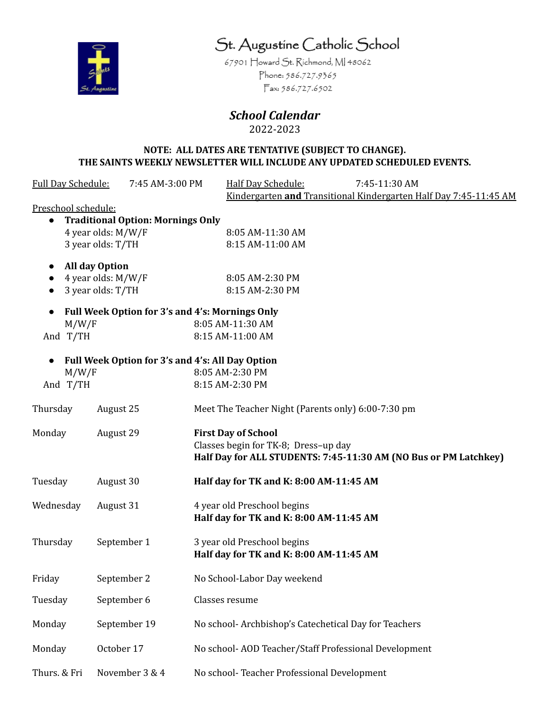

## St. Augustine Catholic School

67901 Howard St. Richmond, M 48062 Phone: 586.727.9365  $\sqrt{5}$ ax: 586.727.6502

*School Calendar* 2022-2023

## **NOTE: ALL DATES ARE TENTATIVE (SUBJECT TO CHANGE). THE SAINTS WEEKLY NEWSLETTER WILL INCLUDE ANY UPDATED SCHEDULED EVENTS.**

| <b>Full Day Schedule:</b>      | 7:45 AM-3:00 PM                          | 7:45-11:30 AM<br><b>Half Day Schedule:</b><br>Kindergarten and Transitional Kindergarten Half Day 7:45-11:45 AM |
|--------------------------------|------------------------------------------|-----------------------------------------------------------------------------------------------------------------|
| Preschool schedule:            |                                          |                                                                                                                 |
| $\bullet$                      | <b>Traditional Option: Mornings Only</b> |                                                                                                                 |
|                                | 4 year olds: M/W/F                       | 8:05 AM-11:30 AM                                                                                                |
| 3 year olds: T/TH              |                                          | 8:15 AM-11:00 AM                                                                                                |
| $\bullet$                      | <b>All day Option</b>                    |                                                                                                                 |
| 4 year olds: M/W/F             |                                          | 8:05 AM-2:30 PM                                                                                                 |
| 3 year olds: T/TH<br>$\bullet$ |                                          | 8:15 AM-2:30 PM                                                                                                 |
| $\bullet$                      |                                          | Full Week Option for 3's and 4's: Mornings Only                                                                 |
| M/W/F                          |                                          | 8:05 AM-11:30 AM                                                                                                |
| And T/TH                       |                                          | 8:15 AM-11:00 AM                                                                                                |
|                                |                                          | Full Week Option for 3's and 4's: All Day Option                                                                |
| M/W/F                          |                                          | 8:05 AM-2:30 PM                                                                                                 |
| And T/TH                       |                                          | 8:15 AM-2:30 PM                                                                                                 |
| Thursday                       | August 25                                | Meet The Teacher Night (Parents only) 6:00-7:30 pm                                                              |
| Monday                         | August 29                                | <b>First Day of School</b>                                                                                      |
|                                |                                          | Classes begin for TK-8; Dress-up day<br>Half Day for ALL STUDENTS: 7:45-11:30 AM (NO Bus or PM Latchkey)        |
| Tuesday                        | August 30                                | Half day for TK and K: 8:00 AM-11:45 AM                                                                         |
| Wednesday                      | August 31                                | 4 year old Preschool begins                                                                                     |
|                                |                                          | Half day for TK and K: 8:00 AM-11:45 AM                                                                         |
| Thursday                       | September 1                              | 3 year old Preschool begins<br>Half day for TK and K: 8:00 AM-11:45 AM                                          |
| Friday                         | September 2                              | No School-Labor Day weekend                                                                                     |
| Tuesday                        | September 6                              | Classes resume                                                                                                  |
| Monday                         | September 19                             | No school- Archbishop's Catechetical Day for Teachers                                                           |
| Monday                         | October 17                               | No school- AOD Teacher/Staff Professional Development                                                           |
| Thurs. & Fri                   | November 3 & 4                           | No school-Teacher Professional Development                                                                      |